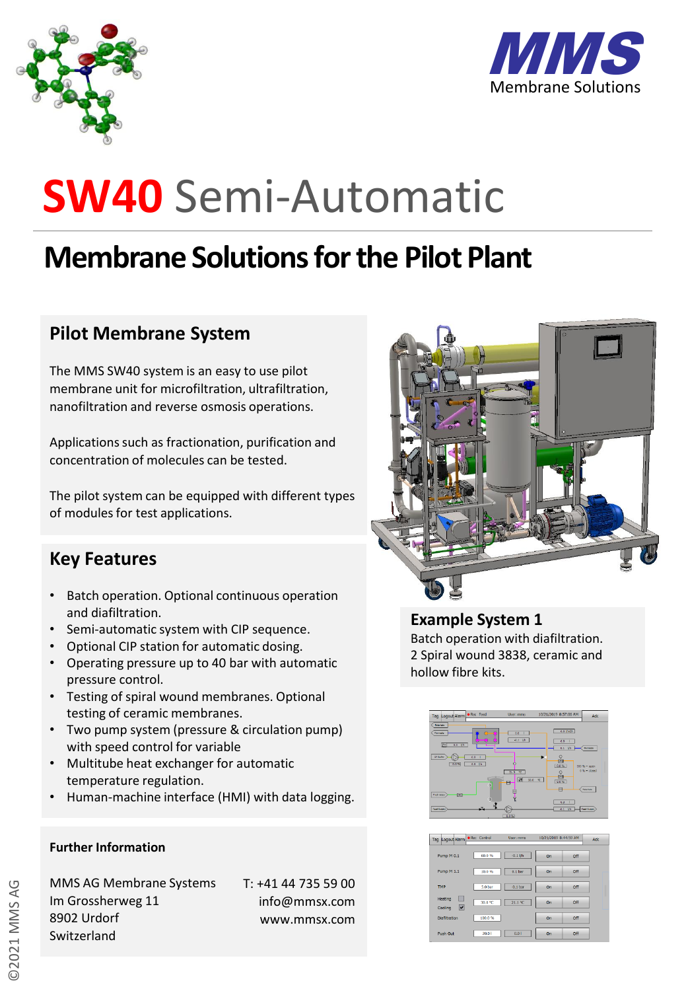



### **Membrane Solutions forthe Pilot Plant**

#### **Pilot Membrane System**

The MMS SW40 system is an easy to use pilot membrane unit for microfiltration, ultrafiltration, nanofiltration and reverse osmosis operations.

Applications such as fractionation, purification and concentration of molecules can be tested.

The pilot system can be equipped with different types of modules for test applications.

#### **Key Features**

- Batch operation. Optional continuous operation and diafiltration.
- Semi-automatic system with CIP sequence.
- Optional CIP station for automatic dosing.
- Operating pressure up to 40 bar with automatic pressure control.
- Testing of spiral wound membranes. Optional testing of ceramic membranes.
- Two pump system (pressure & circulation pump) with speed control for variable
- Multitube heat exchanger for automatic temperature regulation.
- Human-machine interface (HMI) with data logging.

#### **Further Information**

©2021 MMS AG

MMS AG Membrane Systems Im Grossherweg 11 8902 Urdorf Switzerland

T: +41 44 735 59 00 info@mmsx.com www.mmsx.com



### **Example System 1** Batch operation with diafiltration.

2 Spiral wound 3838, ceramic and hollow fibre kits.



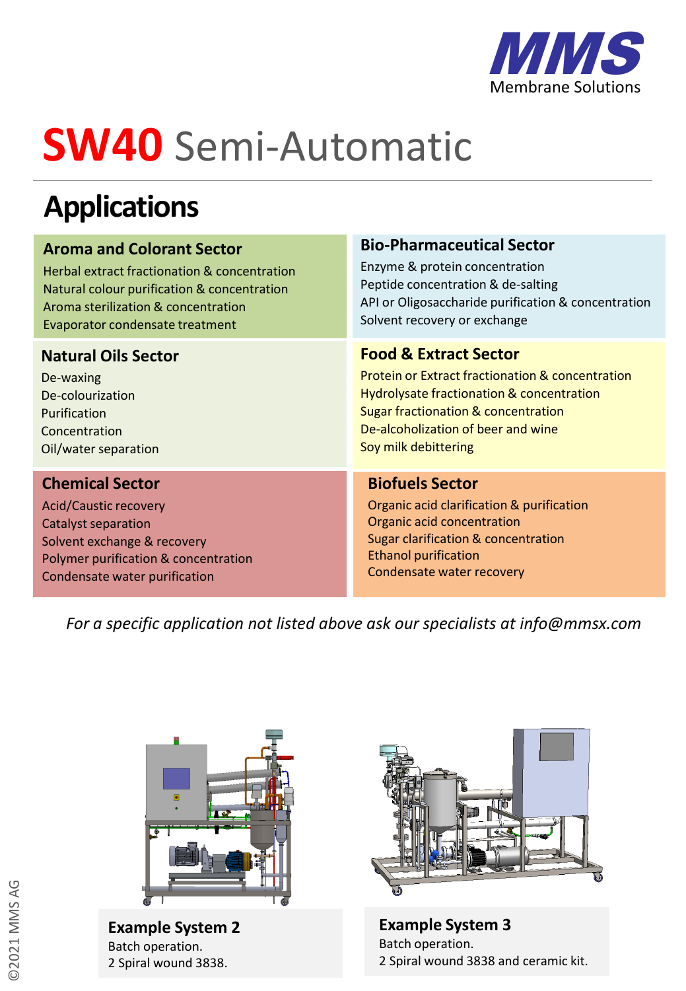

### **Applications**

#### **Aroma and Colorant Sector**

Herbal extract fractionation & concentration Natural colour purification & concentration Aroma sterilization & concentration Evaporator condensate treatment

#### **Natural Oils Sector**

De-waxing De-colourization Purification Concentration Oil/water separation

#### **Chemical Sector**

Acid/Caustic recovery Catalyst separation Solvent exchange & recovery Polymer purification & concentration Condensate water purification

#### **Bio-Pharmaceutical Sector**

Enzyme & protein concentration Peptide concentration & de-salting API or Oligosaccharide purification & concentration Solvent recovery or exchange

#### **Food & Extract Sector**

Protein or Extract fractionation & concentration Hydrolysate fractionation & concentration Sugar fractionation & concentration De-alcoholization of beer and wine Soy milk debittering

#### **Biofuels Sector**

Organic acid clarification & purification Organic acid concentration Sugar clarification & concentration Ethanol purification Condensate water recovery

*For a specific application not listed above ask our specialists at info@mmsx.com*



**Example System 2** Batch operation. 2 Spiral wound 3838.



**Example System 3** Batch operation. 2 Spiral wound 3838 and ceramic kit.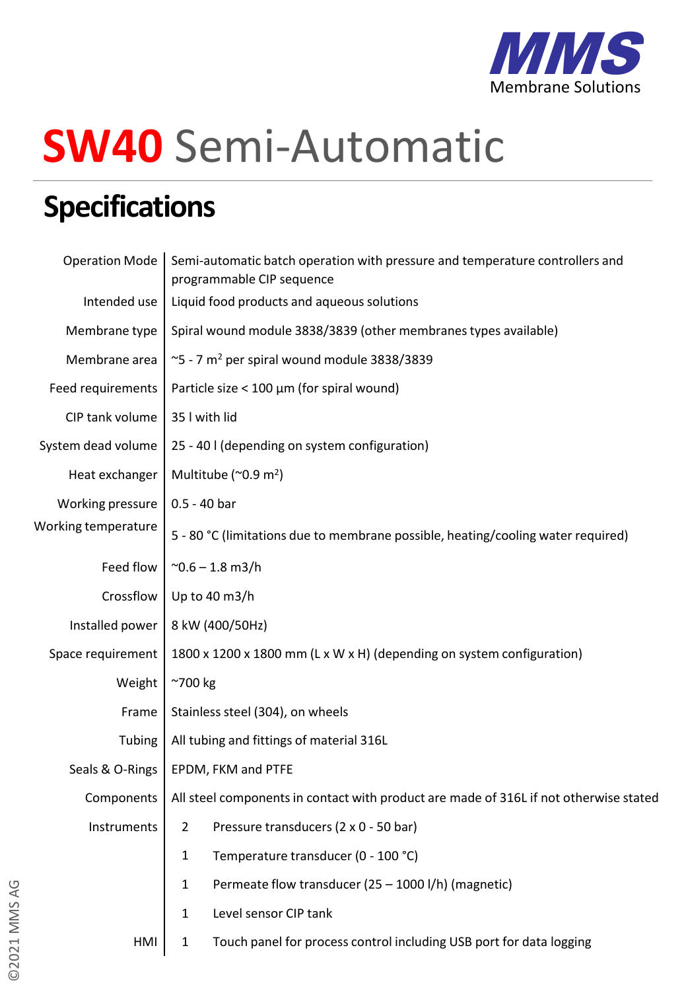

### **Specifications**

| <b>Operation Mode</b> | Semi-automatic batch operation with pressure and temperature controllers and<br>programmable CIP sequence |
|-----------------------|-----------------------------------------------------------------------------------------------------------|
| Intended use          | Liquid food products and aqueous solutions                                                                |
| Membrane type         | Spiral wound module 3838/3839 (other membranes types available)                                           |
| Membrane area         | $\sim$ 5 - 7 m <sup>2</sup> per spiral wound module 3838/3839                                             |
| Feed requirements     | Particle size < 100 $\mu$ m (for spiral wound)                                                            |
| CIP tank volume       | 35 I with lid                                                                                             |
| System dead volume    | 25 - 40 I (depending on system configuration)                                                             |
| Heat exchanger        | Multitube ( $\sim$ 0.9 m <sup>2</sup> )                                                                   |
| Working pressure      | $0.5 - 40$ bar                                                                                            |
| Working temperature   | 5 - 80 °C (limitations due to membrane possible, heating/cooling water required)                          |
| Feed flow             | $^{\sim}$ 0.6 – 1.8 m3/h                                                                                  |
| Crossflow             | Up to 40 m3/h                                                                                             |
| Installed power       | 8 kW (400/50Hz)                                                                                           |
| Space requirement     | 1800 x 1200 x 1800 mm (L x W x H) (depending on system configuration)                                     |
| Weight                | $~\sim$ 700 kg                                                                                            |
| Frame                 | Stainless steel (304), on wheels                                                                          |
| Tubing                | All tubing and fittings of material 316L                                                                  |
| Seals & O-Rings       | EPDM, FKM and PTFE                                                                                        |
| Components            | All steel components in contact with product are made of 316L if not otherwise stated                     |
| Instruments           | Pressure transducers (2 x 0 - 50 bar)<br>$\overline{2}$                                                   |
|                       | Temperature transducer (0 - 100 °C)<br>1                                                                  |
|                       | Permeate flow transducer (25 - 1000 l/h) (magnetic)<br>$\mathbf{1}$                                       |
|                       | Level sensor CIP tank<br>$\mathbf{1}$                                                                     |
| HMI                   | Touch panel for process control including USB port for data logging<br>$\mathbf{1}$                       |
|                       |                                                                                                           |